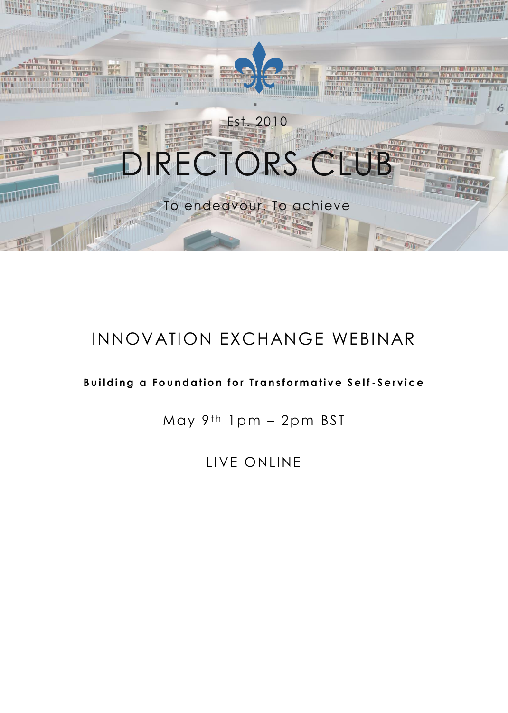

# INNOVATION EXCHANGE WEBINAR

### **Building a Foundation for Transformative Self-Service**

May  $9<sup>th</sup> 1pm - 2pm$  BST

LIVE ONLINE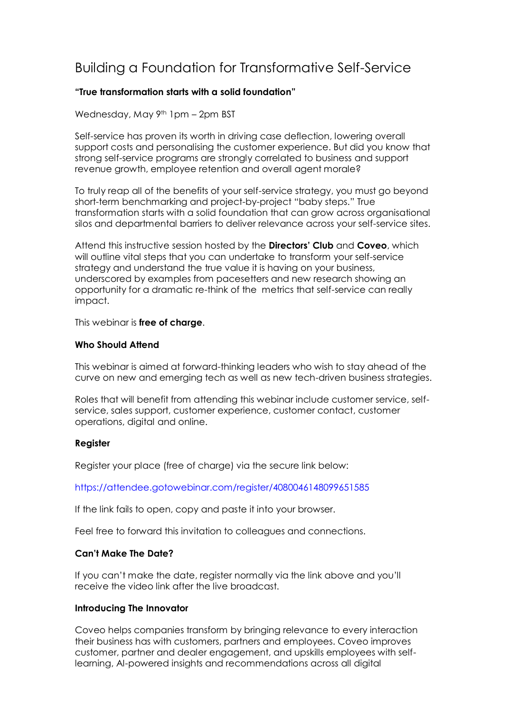## Building a Foundation for Transformative Self-Service

#### **"True transformation starts with a solid foundation"**

Wednesday, May 9<sup>th</sup> 1pm - 2pm BST

Self-service has proven its worth in driving case deflection, lowering overall support costs and personalising the customer experience. But did you know that strong self-service programs are strongly correlated to business and support revenue growth, employee retention and overall agent morale?

To truly reap all of the benefits of your self-service strategy, you must go beyond short-term benchmarking and project-by-project "baby steps." True transformation starts with a solid foundation that can grow across organisational silos and departmental barriers to deliver relevance across your self-service sites.

Attend this instructive session hosted by the **Directors' Club** and **Coveo**, which will outline vital steps that you can undertake to transform your self-service strategy and understand the true value it is having on your business, underscored by examples from pacesetters and new research showing an opportunity for a dramatic re-think of the metrics that self-service can really impact.

This webinar is **free of charge**.

#### **Who Should Attend**

This webinar is aimed at forward-thinking leaders who wish to stay ahead of the curve on new and emerging tech as well as new tech-driven business strategies.

Roles that will benefit from attending this webinar include customer service, selfservice, sales support, customer experience, customer contact, customer operations, digital and online.

#### **Register**

Register your place (free of charge) via the secure link below:

<https://attendee.gotowebinar.com/register/4080046148099651585>

If the link fails to open, copy and paste it into your browser.

Feel free to forward this invitation to colleagues and connections.

#### **Can't Make The Date?**

If you can't make the date, register normally via the link above and you'll receive the video link after the live broadcast.

#### **Introducing The Innovator**

Coveo helps companies transform by bringing relevance to every interaction their business has with customers, partners and employees. Coveo improves customer, partner and dealer engagement, and upskills employees with selflearning, AI-powered insights and recommendations across all digital